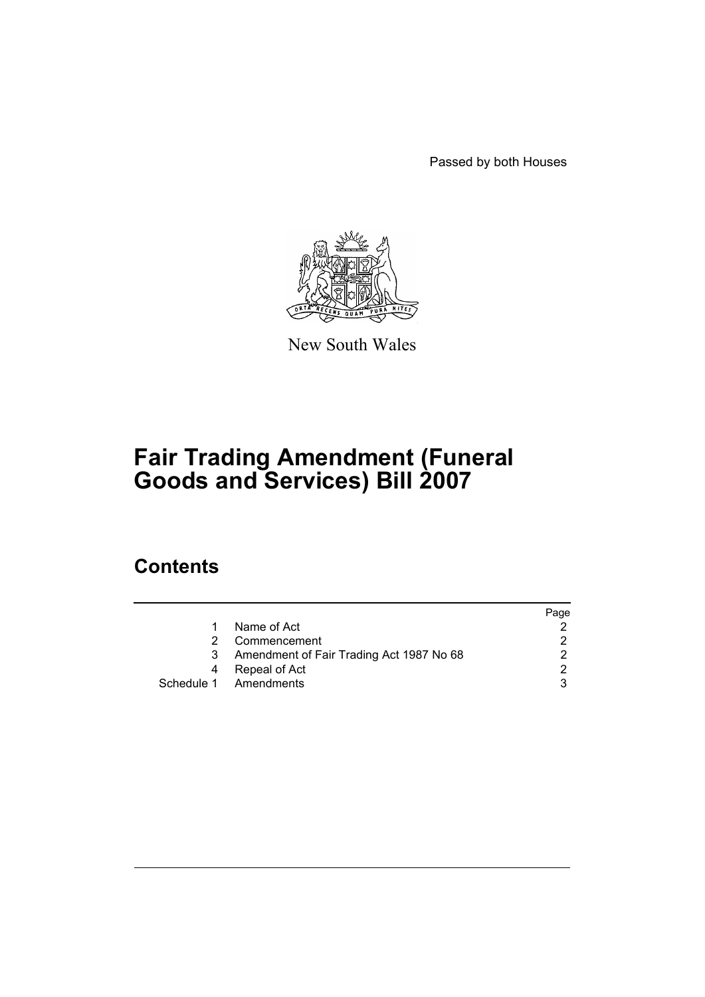Passed by both Houses



New South Wales

# **Fair Trading Amendment (Funeral Goods and Services) Bill 2007**

## **Contents**

|   |                                          | Page |
|---|------------------------------------------|------|
|   | Name of Act                              |      |
|   | Commencement                             |      |
| 3 | Amendment of Fair Trading Act 1987 No 68 |      |
| 4 | Repeal of Act                            | າ    |
|   | Schedule 1 Amendments                    |      |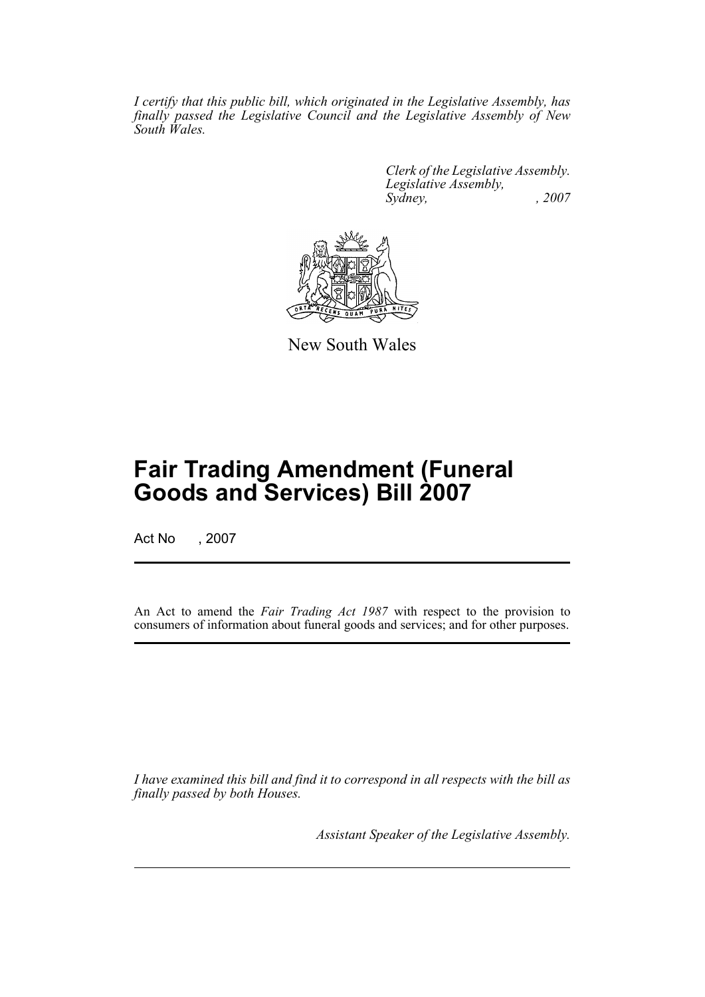*I certify that this public bill, which originated in the Legislative Assembly, has finally passed the Legislative Council and the Legislative Assembly of New South Wales.*

> *Clerk of the Legislative Assembly. Legislative Assembly, Sydney, , 2007*



New South Wales

## **Fair Trading Amendment (Funeral Goods and Services) Bill 2007**

Act No , 2007

An Act to amend the *Fair Trading Act 1987* with respect to the provision to consumers of information about funeral goods and services; and for other purposes.

*I have examined this bill and find it to correspond in all respects with the bill as finally passed by both Houses.*

*Assistant Speaker of the Legislative Assembly.*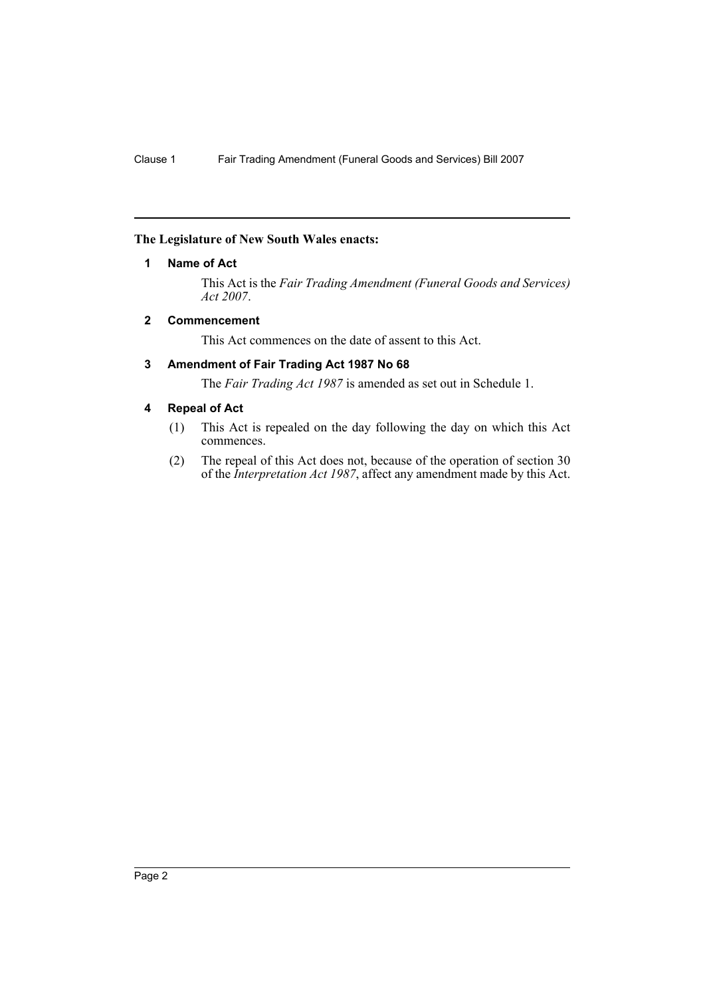#### <span id="page-2-0"></span>**The Legislature of New South Wales enacts:**

#### **1 Name of Act**

This Act is the *Fair Trading Amendment (Funeral Goods and Services) Act 2007*.

#### <span id="page-2-1"></span>**2 Commencement**

This Act commences on the date of assent to this Act.

#### <span id="page-2-2"></span>**3 Amendment of Fair Trading Act 1987 No 68**

The *Fair Trading Act 1987* is amended as set out in Schedule 1.

#### <span id="page-2-3"></span>**4 Repeal of Act**

- (1) This Act is repealed on the day following the day on which this Act commences.
- (2) The repeal of this Act does not, because of the operation of section 30 of the *Interpretation Act 1987*, affect any amendment made by this Act.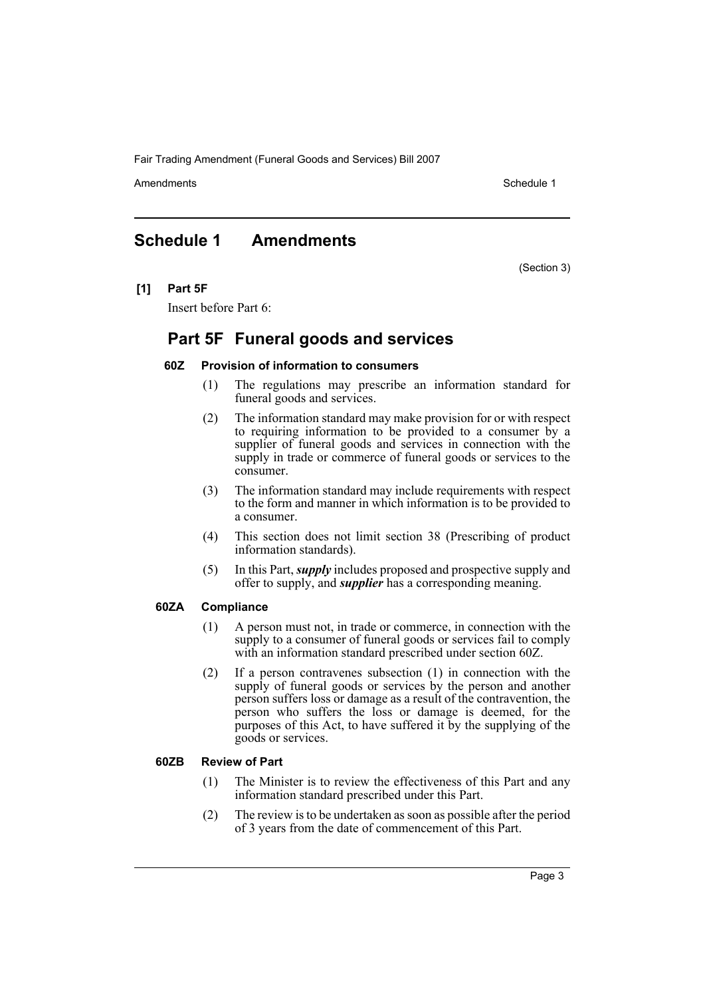Fair Trading Amendment (Funeral Goods and Services) Bill 2007

Amendments **Amendments** Schedule 1

(Section 3)

## <span id="page-3-0"></span>**Schedule 1 Amendments**

**[1] Part 5F**

Insert before Part 6:

### **Part 5F Funeral goods and services**

#### **60Z Provision of information to consumers**

- (1) The regulations may prescribe an information standard for funeral goods and services.
- (2) The information standard may make provision for or with respect to requiring information to be provided to a consumer by a supplier of funeral goods and services in connection with the supply in trade or commerce of funeral goods or services to the consumer.
- (3) The information standard may include requirements with respect to the form and manner in which information is to be provided to a consumer.
- (4) This section does not limit section 38 (Prescribing of product information standards).
- (5) In this Part, *supply* includes proposed and prospective supply and offer to supply, and *supplier* has a corresponding meaning.

#### **60ZA Compliance**

- (1) A person must not, in trade or commerce, in connection with the supply to a consumer of funeral goods or services fail to comply with an information standard prescribed under section 60Z.
- (2) If a person contravenes subsection (1) in connection with the supply of funeral goods or services by the person and another person suffers loss or damage as a result of the contravention, the person who suffers the loss or damage is deemed, for the purposes of this Act, to have suffered it by the supplying of the goods or services.

#### **60ZB Review of Part**

- (1) The Minister is to review the effectiveness of this Part and any information standard prescribed under this Part.
- (2) The review is to be undertaken as soon as possible after the period of 3 years from the date of commencement of this Part.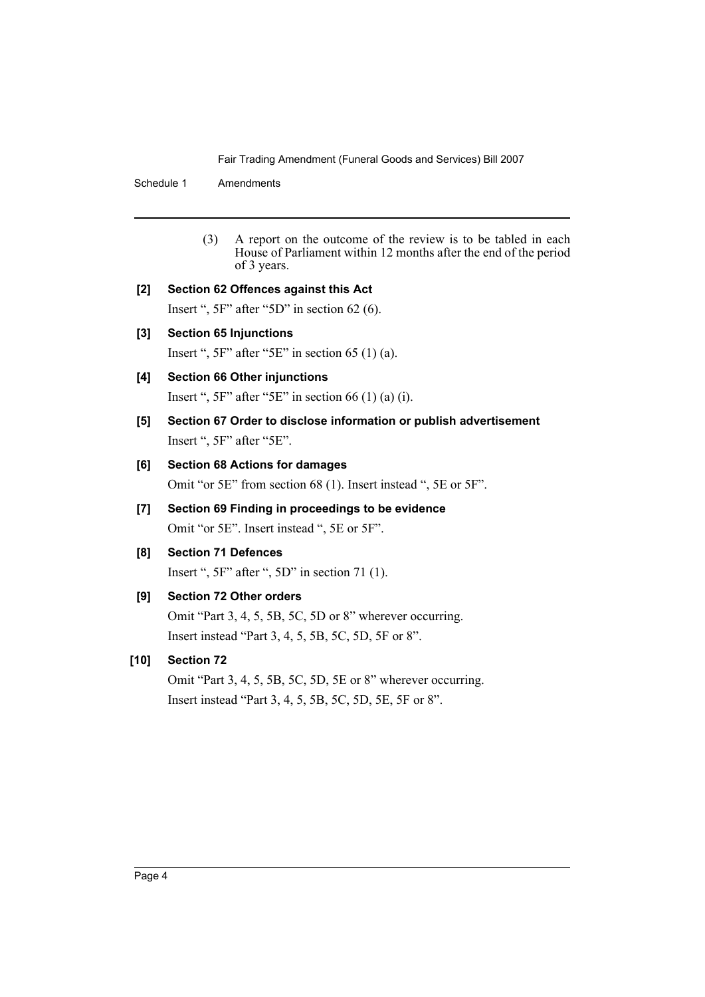Fair Trading Amendment (Funeral Goods and Services) Bill 2007

Schedule 1 Amendments

(3) A report on the outcome of the review is to be tabled in each House of Parliament within 12 months after the end of the period of 3 years.

#### **[2] Section 62 Offences against this Act**

Insert ", 5F" after "5D" in section 62 (6).

**[3] Section 65 Injunctions**

Insert ",  $5F$ " after " $5E$ " in section 65 (1) (a).

#### **[4] Section 66 Other injunctions**

Insert ",  $5F$ " after " $5E$ " in section 66 (1) (a) (i).

**[5] Section 67 Order to disclose information or publish advertisement** Insert ", 5F" after "5E".

#### **[6] Section 68 Actions for damages**

Omit "or 5E" from section 68 (1). Insert instead ", 5E or 5F".

- **[7] Section 69 Finding in proceedings to be evidence** Omit "or 5E". Insert instead ", 5E or 5F".
- **[8] Section 71 Defences**

Insert ", 5F" after ", 5D" in section 71 (1).

### **[9] Section 72 Other orders**

Omit "Part 3, 4, 5, 5B, 5C, 5D or 8" wherever occurring. Insert instead "Part 3, 4, 5, 5B, 5C, 5D, 5F or 8".

#### **[10] Section 72**

Omit "Part 3, 4, 5, 5B, 5C, 5D, 5E or 8" wherever occurring. Insert instead "Part 3, 4, 5, 5B, 5C, 5D, 5E, 5F or 8".